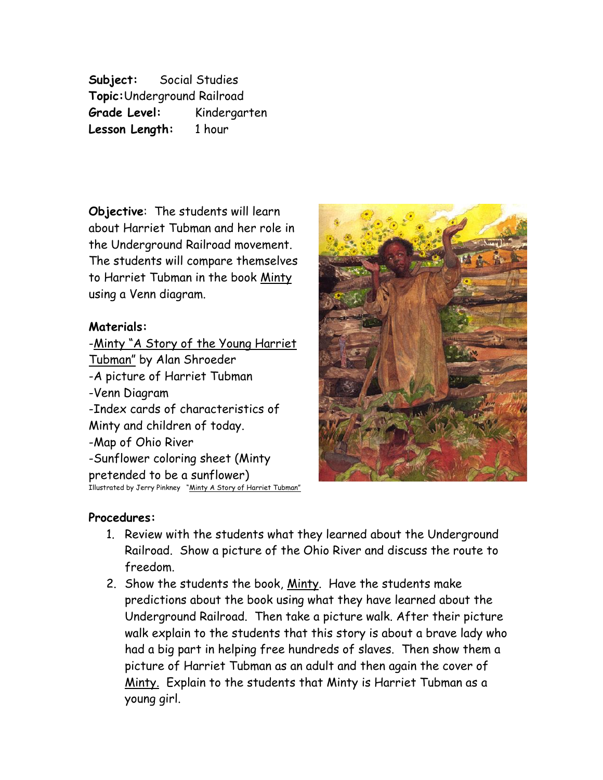**Subject:** Social Studies **Topic:**Underground Railroad **Grade Level:** Kindergarten **Lesson Length:** 1 hour

**Objective**: The students will learn about Harriet Tubman and her role in the Underground Railroad movement. The students will compare themselves to Harriet Tubman in the book Minty using a Venn diagram.

## **Materials:**

-Minty "A Story of the Young Harriet Tubman" by Alan Shroeder -A picture of Harriet Tubman -Venn Diagram -Index cards of characteristics of Minty and children of today. -Map of Ohio River -Sunflower coloring sheet (Minty pretended to be a sunflower) Illustrated by Jerry Pinkney "Minty A Story of Harriet Tubman"



## **Procedures:**

- 1. Review with the students what they learned about the Underground Railroad. Show a picture of the Ohio River and discuss the route to freedom.
- 2. Show the students the book, <u>Minty</u>. Have the students make predictions about the book using what they have learned about the Underground Railroad. Then take a picture walk. After their picture walk explain to the students that this story is about a brave lady who had a big part in helping free hundreds of slaves. Then show them a picture of Harriet Tubman as an adult and then again the cover of Minty. Explain to the students that Minty is Harriet Tubman as a young girl.